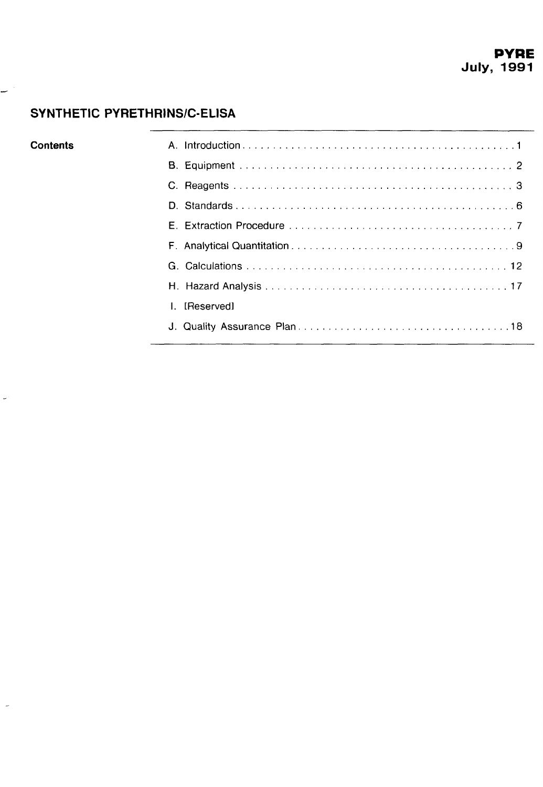## **SYNTHETIC PYRETHRINSIC-ELISA**

**w** 

 $\ddot{\phantom{a}}$ 

J.

| Contents |               |
|----------|---------------|
|          |               |
|          |               |
|          |               |
|          |               |
|          |               |
|          |               |
|          |               |
|          | I. [Reserved] |
|          |               |
|          |               |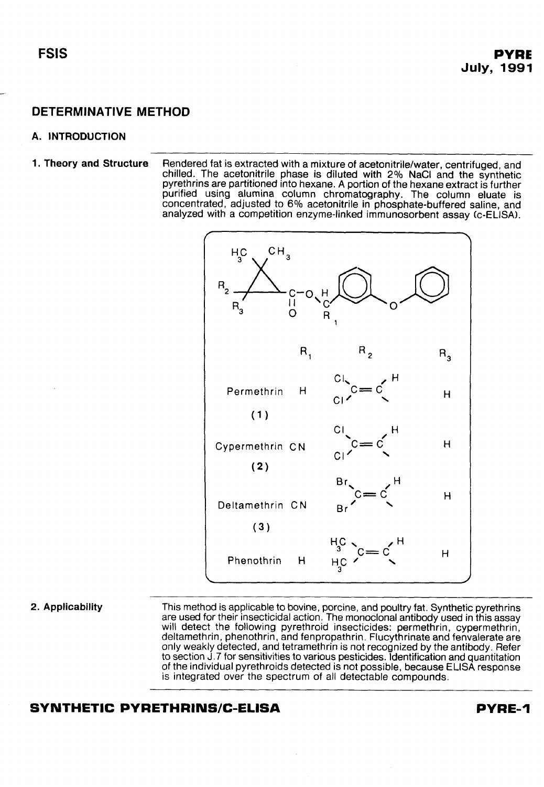#### <span id="page-1-0"></span>**A. INTRODUCTION**

**1. Theory and Structure** Rendered fat is extracted with a mixture of acetonitrile/water, centrifuged, and chilled. The acetonitrile phase is diluted with **2%** NaCl and the synthetic pyrethrins are partitioned into hexane. A portion of the hexane extract is further purified using alumina column chromatography. The column eluate is concentrated, adjusted to 6% acetonitrile in phosphate-buffered saline, and analyzed with a competition enzyme-linked immunosorbent assay (c-ELISA).



**2. Applicability** This method is applicable to bovine, porcine, and poultry fat. Synthetic pyrethrins are used for their insecticidal action. The monoclonal antibody used in this assay will detect the following pyrethroid insecticides: permethrin, cypermethrin, deltamethrin, phenothrin, and fenpropathrin. Flucythrinate and fenvalerate are only weakly detected, and tetramethrin is not recognized by the antibody. Refer to section J.7 for sensitivities to various pesticides. Identification and quantitation of the individual pyrethroids detected is not possible, because ELlSA response is integrated over the spectrum of all detectable compounds.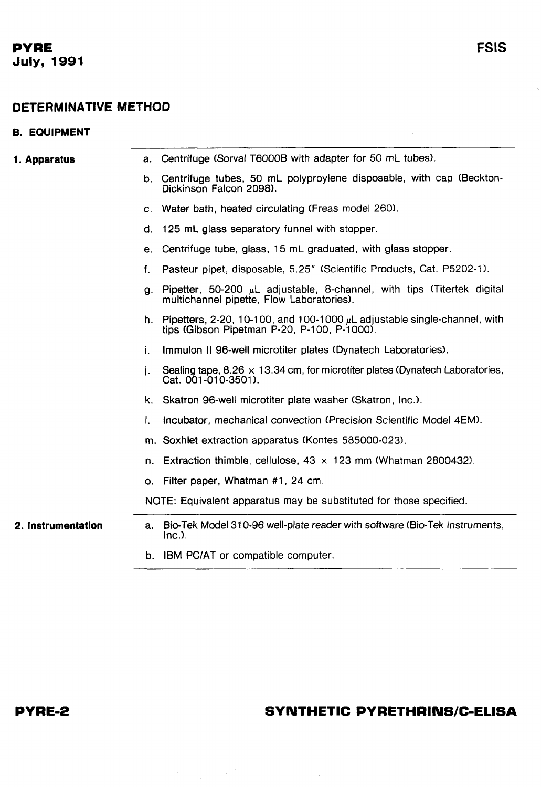## <span id="page-2-0"></span>**DETERMINATIVE METHOD**

#### **B. EQUIPMENT**

| 1. Apparatus       |              | a. Centrifuge (Sorval T6000B with adapter for 50 mL tubes).                                                                     |
|--------------------|--------------|---------------------------------------------------------------------------------------------------------------------------------|
|                    | b.           | Centrifuge tubes, 50 mL polyproylene disposable, with cap (Beckton-<br>Dickinson Falcon 2098).                                  |
|                    | C.           | Water bath, heated circulating (Freas model 260).                                                                               |
|                    | d.           | 125 mL glass separatory funnel with stopper.                                                                                    |
|                    | е.           | Centrifuge tube, glass, 15 mL graduated, with glass stopper.                                                                    |
|                    | f.           | Pasteur pipet, disposable, 5.25" (Scientific Products, Cat. P5202-1).                                                           |
|                    | g.           | Pipetter, 50-200 $\mu$ L adjustable, 8-channel, with tips (Titertek digital<br>multichannel pipette, Flow Laboratories).        |
|                    |              | h. Pipetters, 2-20, 10-100, and 100-1000 $\mu$ L adjustable single-channel, with<br>tips (Gibson Pipetman P-20, P-100, P-1000). |
|                    | i.           | Immulon II 96-well microtiter plates (Dynatech Laboratories).                                                                   |
|                    | j.           | Sealing tape, $8.26 \times 13.34$ cm, for microtiter plates (Dynatech Laboratories,<br>Cat. 001-010-3501).                      |
|                    | k.           | Skatron 96-well microtiter plate washer (Skatron, Inc.).                                                                        |
|                    | $\mathbf{L}$ | Incubator, mechanical convection (Precision Scientific Model 4EM).                                                              |
|                    |              | m. Soxhlet extraction apparatus (Kontes 585000-023).                                                                            |
|                    | n.           | Extraction thimble, cellulose, $43 \times 123$ mm (Whatman 2800432).                                                            |
|                    | О.           | Filter paper, Whatman #1, 24 cm.                                                                                                |
|                    |              | NOTE: Equivalent apparatus may be substituted for those specified.                                                              |
| 2. Instrumentation | a.           | Bio-Tek Model 310-96 well-plate reader with software (Bio-Tek Instruments,<br>$Inc.$ ).                                         |

**b.** IBM PCIAT or compatible computer.

 $\label{eq:2} \frac{1}{\sqrt{2}}\sum_{i=1}^N\frac{1}{\sqrt{2}}\sum_{j=1}^N\frac{1}{\sqrt{2}}\sum_{j=1}^N\frac{1}{\sqrt{2}}\sum_{j=1}^N\frac{1}{\sqrt{2}}\sum_{j=1}^N\frac{1}{\sqrt{2}}\sum_{j=1}^N\frac{1}{\sqrt{2}}\sum_{j=1}^N\frac{1}{\sqrt{2}}\sum_{j=1}^N\frac{1}{\sqrt{2}}\sum_{j=1}^N\frac{1}{\sqrt{2}}\sum_{j=1}^N\frac{1}{\sqrt{2}}\sum_{j=1}^N\frac{1$ 

 $\mathcal{L}_{\text{max}}$ 

## **PYRE-2**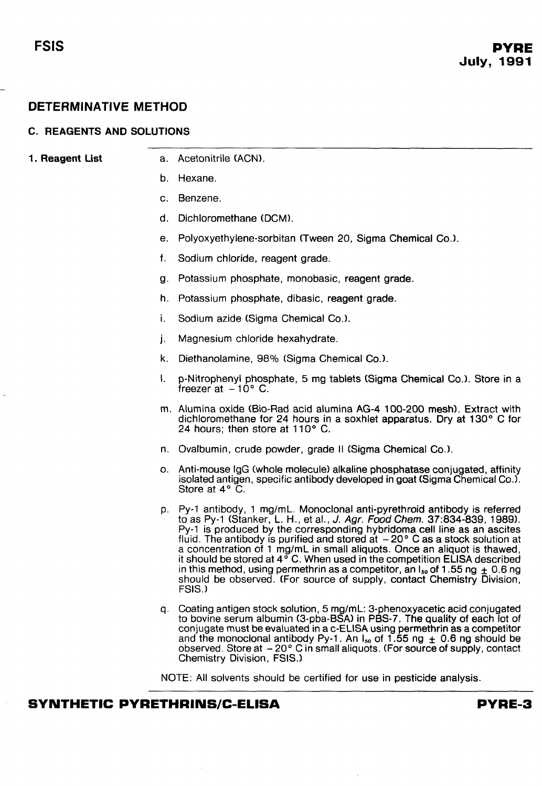#### **C. REAGENTS AND SOLUTIONS**

- a. Acetonitrile (ACN).
- b. Hexane.
- C. Benzene.
- d. Dichloromethane (DCM).
- e. Polyoxyethylene-sorbitan (Tween 20, Sigma Chemical Go.).
- f. Sodium chloride, reagent grade.
- 9. Potassium phosphate, monobasic, reagent grade.
- h. Potassium phosphate, dibasic, reagent grade.
- **I.**  Sodium azide (Sigma Chemical Co.).
- j. Magnesium chloride hexahydrate.
- k. Diethanolamine, 98% (Sigma Chemical Co.).
- I. p-Nitrophenyl phosphate, 5 mg tablets (Sigma Chemical Co.). Store in a freezer at  $-10^{\circ}$  C.
- Alumina oxide (Bio-Rad acid alumina AG-4 100-200 mesh). Extract with dichloromethane for 24 hours in a soxhlet apparatus. Dry at 130" C for 24 hours; then store at  $110^{\circ}$  C.
- n. Ovalbumin, crude powder, grade II (Sigma Chemical Co.).
- Anti-mouse IgG (whole molecule) alkaline phosphatase conjugated, affinity isolated antigen, specific antibody developed in goat (Sigma Chemical Co.). Store at 4' C.
- Py-1 antibody, 1 mg/mL. Monoclonal anti-pyrethroid antibody is referred to as Py-1 (Stanker, L. H., et al., J. **Agr. Food Chem.** 37:834-839, 19891. Py-1 is produced by the corresponding hybridoma cell line as an ascites fluid. The antibody is purified and stored at  $-20^{\circ}$  C as a stock solution at a concentration of 1 mg/mL in small aliquots. Once an aliquot is thawed, it should be stored at  $4^{\circ}$  C. When used in the competition ELISA described in this method, using permethrin as a competitor, an  $I_{so}$  of 1.55 ng  $\pm$  0.6 ng should be observed. (For source of supply, contact Chemistry Division, FSIS.)
- Coating antigen stock solution, 5 mg/mL: 3-phenoxyacetic acid conjugated to bovine serum albumin (3-pba-BSA) in PBS-7. The quality of each lot of conjugate must be evaluated in a c-ELISA using permethrin as a competitor and the monoclonal antibody Py-1. An  $I_{50}$  of 1.55 ng  $\pm$  0.6 ng should be observed. Store at -20° C in small aliquots. (For source of supply, contact<br>Chemistry Division, FSIS.)

NOTE: All solvents should be certified for use in pesticide analysis.

#### **SYNTHETIC PYRETHRINS/C-ELISA PYRE-3**

**1. Reagent List** 

<span id="page-3-0"></span>-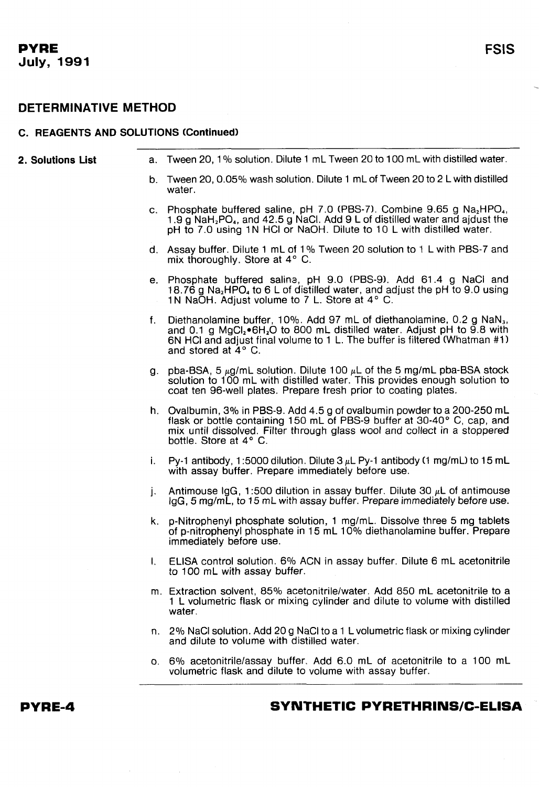# **FSIS**

## **DETERMINATIVE METHOD**

#### **C. REAGENTS AND SOLUTIONS (Continued)**

| 2. Solutions List |              | a. Tween 20, 1% solution. Dilute 1 mL Tween 20 to 100 mL with distilled water.                                                                                                                                                                                                   |
|-------------------|--------------|----------------------------------------------------------------------------------------------------------------------------------------------------------------------------------------------------------------------------------------------------------------------------------|
|                   |              | b. Tween 20, 0.05% wash solution. Dilute 1 mL of Tween 20 to 2 L with distilled<br>water.                                                                                                                                                                                        |
|                   |              | c. Phosphate buffered saline, pH 7.0 (PBS-7). Combine 9.65 g Na <sub>2</sub> HPO <sub>4</sub> ,<br>1.9 g NaH <sub>2</sub> PO <sub>4</sub> , and 42.5 g NaCl. Add 9 L of distilled water and ajdust the<br>pH to 7.0 using 1N HCl or NaOH. Dilute to 10 L with distilled water.   |
|                   |              | d. Assay buffer. Dilute 1 mL of 1% Tween 20 solution to 1 L with PBS-7 and<br>mix thoroughly. Store at $4^{\circ}$ C.                                                                                                                                                            |
|                   |              | e. Phosphate buffered saline, pH 9.0 (PBS-9). Add 61.4 g NaCl and<br>18.76 g Na <sub>2</sub> HPO <sub>4</sub> to 6 L of distilled water, and adjust the pH to 9.0 using<br>1N NaOH. Adjust volume to 7 L. Store at 4° C.                                                         |
|                   | f.           | Diethanolamine buffer, 10%. Add 97 mL of diethanolamine, 0.2 g NaN <sub>3</sub> ,<br>and 0.1 g $MgCl2 \cdot 6H2O$ to 800 mL distilled water. Adjust pH to 9.8 with<br>6N HCI and adjust final volume to 1 L. The buffer is filtered (Whatman #1)<br>and stored at $4^{\circ}$ C. |
|                   |              | g. pba-BSA, 5 $\mu$ g/mL solution. Dilute 100 $\mu$ L of the 5 mg/mL pba-BSA stock<br>solution to 100 mL with distilled water. This provides enough solution to<br>coat ten 96-well plates. Prepare fresh prior to coating plates.                                               |
|                   |              | h. Ovalbumin, 3% in PBS-9. Add 4.5 g of ovalbumin powder to a 200-250 mL<br>flask or bottle containing 150 mL of PBS-9 buffer at 30-40° C, cap, and<br>mix until dissolved. Filter through glass wool and collect in a stoppered<br>bottle. Store at 4° C.                       |
|                   |              | i. Py-1 antibody, 1:5000 dilution. Dilute $3 \mu L$ Py-1 antibody (1 mg/mL) to 15 mL<br>with assay buffer. Prepare immediately before use.                                                                                                                                       |
|                   | j.           | Antimouse IgG, 1:500 dilution in assay buffer. Dilute 30 $\mu$ L of antimouse<br>IgG, 5 mg/mL, to 15 mL with assay buffer. Prepare immediately before use.                                                                                                                       |
|                   |              | k. p-Nitrophenyl phosphate solution, 1 mg/mL. Dissolve three 5 mg tablets<br>of p-nitrophenyl phosphate in 15 mL 10% diethanolamine buffer. Prepare<br>immediately before use.                                                                                                   |
|                   | $\mathbf{L}$ | ELISA control solution. 6% ACN in assay buffer. Dilute 6 mL acetonitrile<br>to 100 mL with assay buffer.                                                                                                                                                                         |
|                   |              | m. Extraction solvent, 85% acetonitrile/water. Add 850 mL acetonitrile to a<br>1 L volumetric flask or mixing cylinder and dilute to volume with distilled<br>water.                                                                                                             |
|                   |              | n. 2% NaCl solution. Add 20 g NaCl to a 1 L volumetric flask or mixing cylinder<br>and dilute to volume with distilled water.                                                                                                                                                    |
|                   |              | o. 6% acetonitrile/assay buffer, Add 6.0 mL of acetonitrile to a 100 mL<br>volumetric flask and dilute to volume with assay buffer.                                                                                                                                              |
|                   |              |                                                                                                                                                                                                                                                                                  |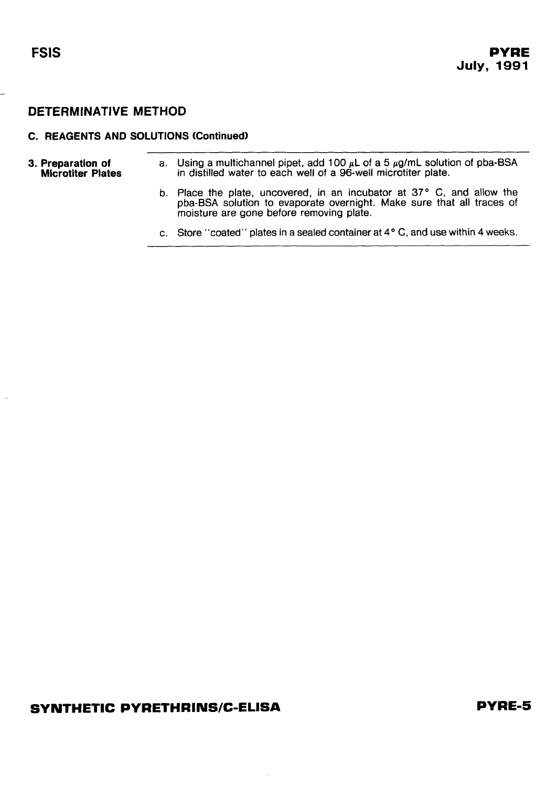$\overline{\phantom{a}}$ 

## **DETERMINATIVE METHOD**

#### **C. REAGENTS AND SOLUTIONS (Continued)**  - -- -

| 3. Preparation of<br><b>Microtiter Plates</b> | a. Using a multichannel pipet, add 100 $\mu$ L of a 5 $\mu$ g/mL solution of pba-BSA<br>in distilled water to each well of a 96-well microtiter plate. |
|-----------------------------------------------|--------------------------------------------------------------------------------------------------------------------------------------------------------|
|                                               |                                                                                                                                                        |

- b. Place the plate, uncovered, in an incubator at **37'** C, and allow the pba-BSA solution to evaporate overnight. Make sure that all traces of moisture are gone before removing plate.
- c. Store "coated" plates in a sealed container at **4"** C, and use within **4** weeks.

### **SYNTHETIC PYRETHRINS/C-ELISA**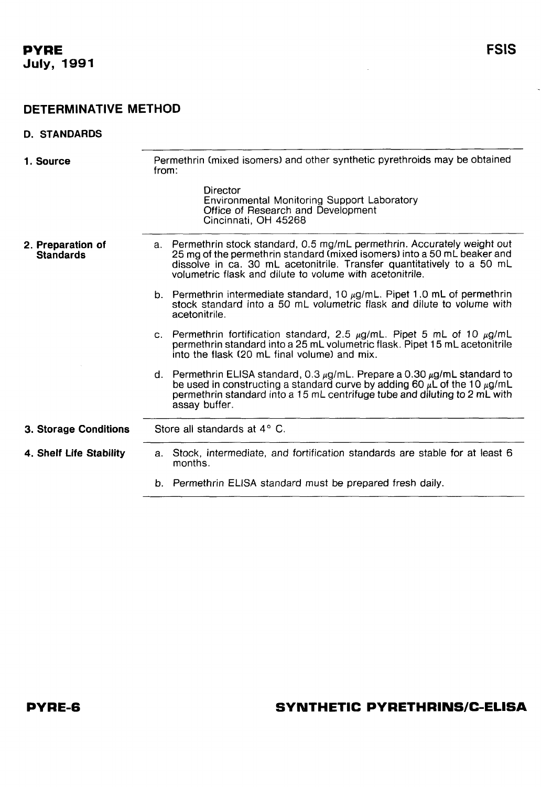#### <span id="page-6-0"></span>**D. STANDARDS**

| 1. Source                             | Permethrin (mixed isomers) and other synthetic pyrethroids may be obtained<br>from:                                                                                                                                                                                                         |
|---------------------------------------|---------------------------------------------------------------------------------------------------------------------------------------------------------------------------------------------------------------------------------------------------------------------------------------------|
|                                       | Director<br><b>Environmental Monitoring Support Laboratory</b><br>Office of Research and Development<br>Cincinnati, OH 45268                                                                                                                                                                |
| 2. Preparation of<br><b>Standards</b> | a. Permethrin stock standard, 0.5 mg/mL permethrin. Accurately weight out<br>25 mg of the permethrin standard (mixed isomers) into a 50 mL beaker and<br>dissolve in ca. 30 mL acetonitrile. Transfer quantitatively to a 50 mL<br>volumetric flask and dilute to volume with acetonitrile. |
|                                       | b. Permethrin intermediate standard, 10 $\mu$ g/mL. Pipet 1.0 mL of permethrin<br>stock standard into a 50 mL volumetric flask and dilute to volume with<br>acetonitrile.                                                                                                                   |
|                                       | c. Permethrin fortification standard, 2.5 $\mu$ g/mL. Pipet 5 mL of 10 $\mu$ g/mL<br>permethrin standard into a 25 mL volumetric flask. Pipet 15 mL acetonitrile<br>into the flask (20 mL final volume) and mix.                                                                            |
|                                       | d. Permethrin ELISA standard, 0.3 $\mu$ g/mL. Prepare a 0.30 $\mu$ g/mL standard to<br>be used in constructing a standard curve by adding 60 $\mu\bar{L}$ of the 10 $\mu$ g/mL<br>permethrin standard into a 15 mL centrifuge tube and diluting to 2 mL with<br>assay buffer.               |
| <b>3. Storage Conditions</b>          | Store all standards at $4^{\circ}$ C.                                                                                                                                                                                                                                                       |
| 4. Shelf Life Stability               | a. Stock, intermediate, and fortification standards are stable for at least 6<br>months.                                                                                                                                                                                                    |
|                                       | b. Permethrin ELISA standard must be prepared fresh daily.                                                                                                                                                                                                                                  |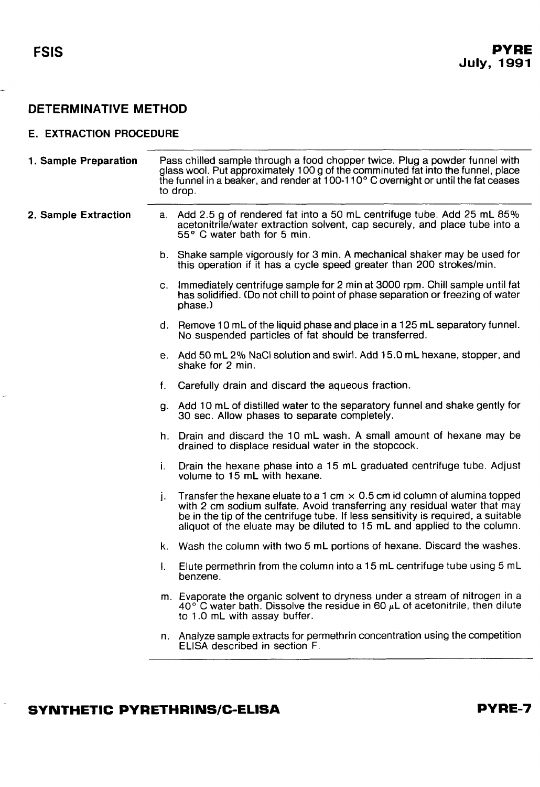<span id="page-7-0"></span>-

## **DETERMINATIVE METHOD**

#### **E. EXTRACTION PROCEDURE**

| 1. Sample Preparation |              | Pass chilled sample through a food chopper twice. Plug a powder funnel with<br>glass wool. Put approximately 100 g of the comminuted fat into the funnel, place<br>the funnel in a beaker, and render at 100-110° C overnight or until the fat ceases<br>to drop.                                                             |
|-----------------------|--------------|-------------------------------------------------------------------------------------------------------------------------------------------------------------------------------------------------------------------------------------------------------------------------------------------------------------------------------|
| 2. Sample Extraction  |              | a. Add 2.5 g of rendered fat into a 50 mL centrifuge tube. Add 25 mL 85%<br>acetonitrile/water extraction solvent, cap securely, and place tube into a<br>55° C water bath for 5 min.                                                                                                                                         |
|                       |              | b. Shake sample vigorously for 3 min. A mechanical shaker may be used for<br>this operation if it has a cycle speed greater than 200 strokes/min.                                                                                                                                                                             |
|                       |              | c. Immediately centrifuge sample for 2 min at 3000 rpm. Chill sample until fat<br>has solidified. (Do not chill to point of phase separation or freezing of water<br>phase.)                                                                                                                                                  |
|                       |              | d. Remove 10 mL of the liquid phase and place in a 125 mL separatory funnel.<br>No suspended particles of fat should be transferred.                                                                                                                                                                                          |
|                       |              | e. Add 50 mL 2% NaCl solution and swirl. Add 15.0 mL hexane, stopper, and<br>shake for 2 min.                                                                                                                                                                                                                                 |
|                       | f.           | Carefully drain and discard the aqueous fraction.                                                                                                                                                                                                                                                                             |
|                       |              | g. Add 10 mL of distilled water to the separatory funnel and shake gently for<br>30 sec. Allow phases to separate completely.                                                                                                                                                                                                 |
|                       |              | h. Drain and discard the 10 mL wash. A small amount of hexane may be<br>drained to displace residual water in the stopcock.                                                                                                                                                                                                   |
|                       | i.           | Drain the hexane phase into a 15 mL graduated centrifuge tube. Adjust<br>volume to 15 mL with hexane.                                                                                                                                                                                                                         |
|                       | i.           | Transfer the hexane eluate to a 1 cm $\times$ 0.5 cm id column of alumina topped<br>with 2 cm sodium sulfate. Avoid transferring any residual water that may<br>be in the tip of the centrifuge tube. If less sensitivity is required, a suitable<br>aliquot of the eluate may be diluted to 15 mL and applied to the column. |
|                       |              | k. Wash the column with two 5 mL portions of hexane. Discard the washes.                                                                                                                                                                                                                                                      |
|                       | $\mathbf{L}$ | Elute permethrin from the column into a 15 mL centrifuge tube using 5 mL<br>benzene.                                                                                                                                                                                                                                          |
|                       |              | m. Evaporate the organic solvent to dryness under a stream of nitrogen in a<br>$40^{\circ}$ C water bath. Dissolve the residue in 60 $\mu$ L of acetonitrile, then dilute<br>to 1.0 mL with assay buffer.                                                                                                                     |
|                       |              | n. Analyze sample extracts for permethrin concentration using the competition<br>ELISA described in section F.                                                                                                                                                                                                                |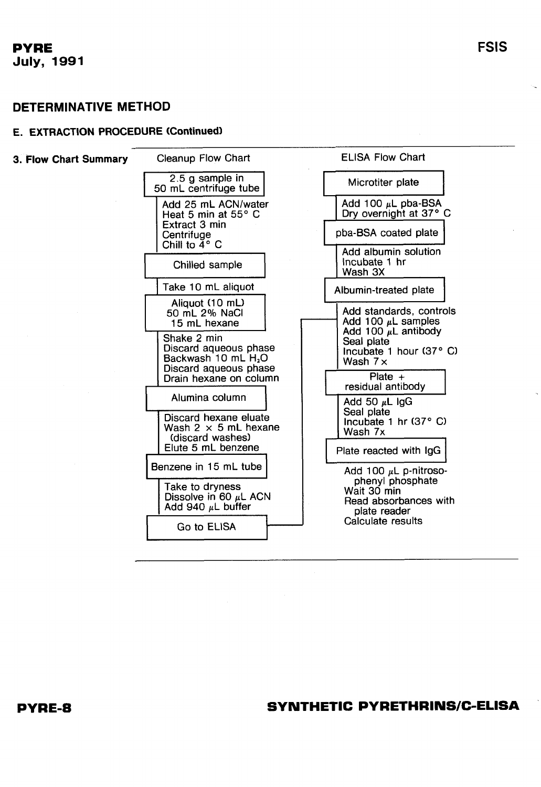### **DETERMINATIVE METHOD**

#### **E. EXTRACTION PROCEDURE (Continued]**



**SYNTHETIC PYRETHRINS/C-ELISA** 

**FSlS**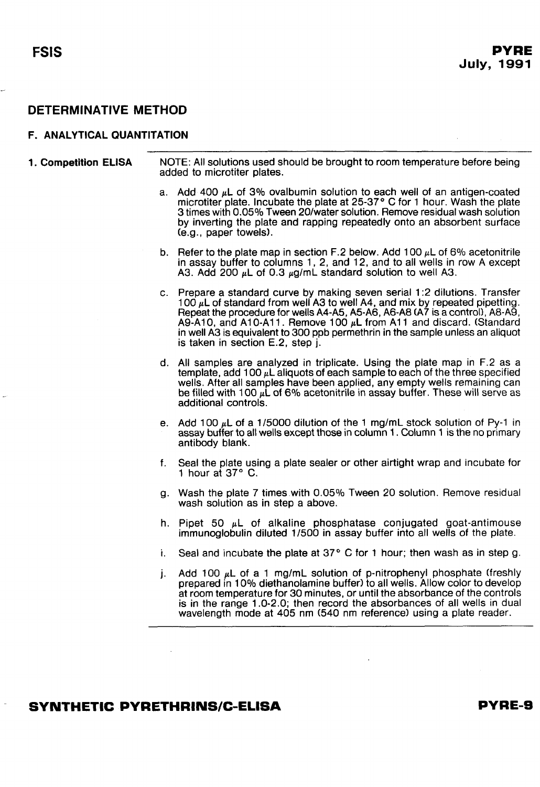#### <span id="page-9-0"></span>**F. ANALYTICAL QUANTlTATlON**

| 1. Competition ELISA | NOTE: All solutions used should be brought to room temperature before being |
|----------------------|-----------------------------------------------------------------------------|
|                      | added to microtiter plates.                                                 |

- a. Add 400  $\mu$ L of 3% ovalbumin solution to each well of an antigen-coated microtiter plate. Incubate the plate at  $25-37$  ° C for 1 hour. Wash the plate 3 times with 0.05% Tween 20lwater solution. Remove residual wash solution by inverting the plate and rapping repeatedly onto an absorbent surface (e.g., paper towels).
- b. Refer to the plate map in section F.2 below. Add 100  $\mu$ L of 6% acetonitrile in assay buffer to columns 1, 2, and 12, and to all wells in row A except A3. Add 200  $\mu$ L of 0.3  $\mu$ g/mL standard solution to well A3.
- c. Prepare a standard curve by making seven serial 1 :2 dilutions. Transfer 100  $\mu$ L of standard from well A3 to well A4, and mix by repeated pipetting. Repeat the procedure for wells A4-A5, A5-A6, A6-A8 (A7 is a control), A8-A9, A9-A10, and A10-A11. Remove 100  $\mu$ L from A11 and discard. (Standard in well A3 is equivalent to 300 ppb permethrin in the sample unless an aliquot is taken in section E.2, step j.
- d. All samples are analyzed in triplicate. Using the plate map in F.2 as a template, add 100  $\mu$ L aliquots of each sample to each of the three specified wells. After all samples have been applied, any empty wells remaining can be filled with 100  $\mu$ L of 6% acetonitrile in assay buffer. These will serve as additional controls.
- e. Add 100  $\mu$ L of a 1/5000 dilution of the 1 mg/mL stock solution of Py-1 in assay buffer to all wells except those in column 1 . Column 1 is the no primary antibody blank.
- f. Seal the plate using a plate sealer or other airtight wrap and incubate for 1 hour at  $37^\circ$  C.
- g. Wash the plate 7 times with 0.05% Tween 20 solution. Remove residual wash solution as in step a above.
- h. Pipet 50  $\mu$ L of alkaline phosphatase conjugated goat-antimouse immunoglobulin diluted 11500 in assay buffer into all wells of the plate.
- i. Seal and incubate the plate at  $37°$  C for 1 hour; then wash as in step g.
- j. Add 100  $\mu$ L of a 1 mg/mL solution of p-nitrophenyl phosphate (freshly prepared in 10% diethanolamine buffer) to all wells. Allow color to develop at room temperature for 30 minutes, or until the absorbance of the controls is in the range 1 .O-2.0; then record the absorbances of all wells in dual wavelength mode at 405 nm (540 nm reference) using a plate reader.

#### **SYNTHETIC PYRETHRINSIC-ELISA**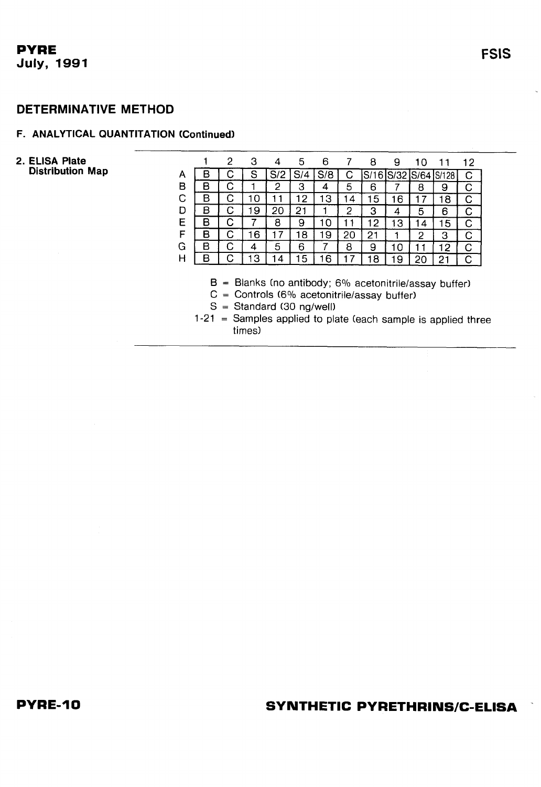#### **DETERMINATIVE METHOD**

#### **F. ANALYTICAL QUANTITATION (Continued)**

#### **2. ELlSA Plate Distribution Map**

|   |   | 2 | З |    | 5  | 6     |    | 8       | ч        |         |            | 12 |
|---|---|---|---|----|----|-------|----|---------|----------|---------|------------|----|
| A |   |   | S | S  | 4  | ð     |    | Q.<br>6 | e,<br>מי | o.<br>6 | S/1<br>'28 |    |
| в |   |   |   | 2  | 3  | 4     | 5  | 6       |          | 8       | У          |    |
| С | в |   |   |    | 2  | З     |    | 5       | 6        |         | 8          |    |
| D |   |   | 9 | 20 | 21 |       | 2  | З       | 4        | 5       | 6          |    |
| Ε |   |   |   | 8  | 9  | 1 ( ) |    | 2       | З        | 4       | 5          |    |
| F | R |   | 6 |    | 8  | 9     | 20 | 2       |          | 2       | З          |    |
| G | R |   | 4 | 5  | 6  |       | 8  | 9       |          |         | 2          |    |
| н |   |   | З | 4  | 5  | 6     |    | я       | 9        | כי      | າ          |    |
|   |   |   |   |    |    |       |    |         |          |         |            |    |

- **B** = Blanks (no antibody; 6% acetonitrile/assay buffer)
- $C =$  Controls (6% acetonitrile/assay buffer)
- $S =$  Standard (30 ng/well)
- 1-21 = Samples applied to plate (each sample is applied three times)

**FSIS**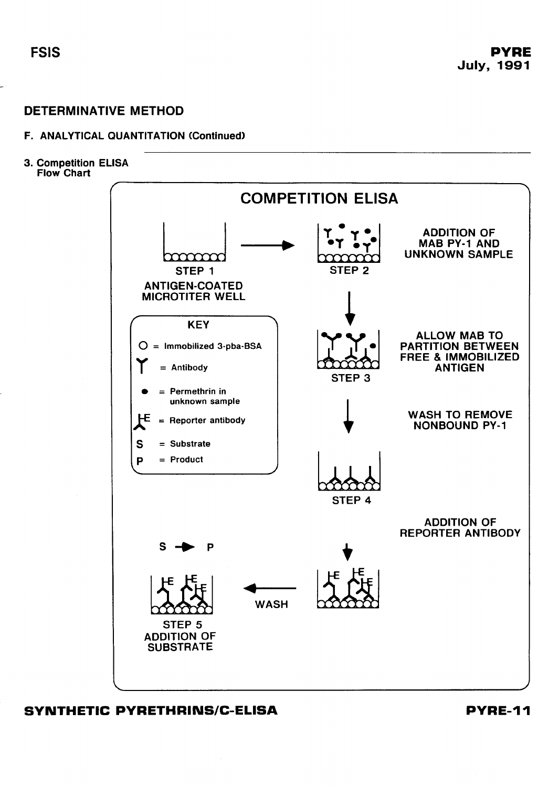#### **F. ANALYTICAL QUANTITATION Continued)**

**3. Competition ELlSA Flow Chart** 



**SYNTHETIC PYRETHRINSIC-ELISA PYRE-1 I**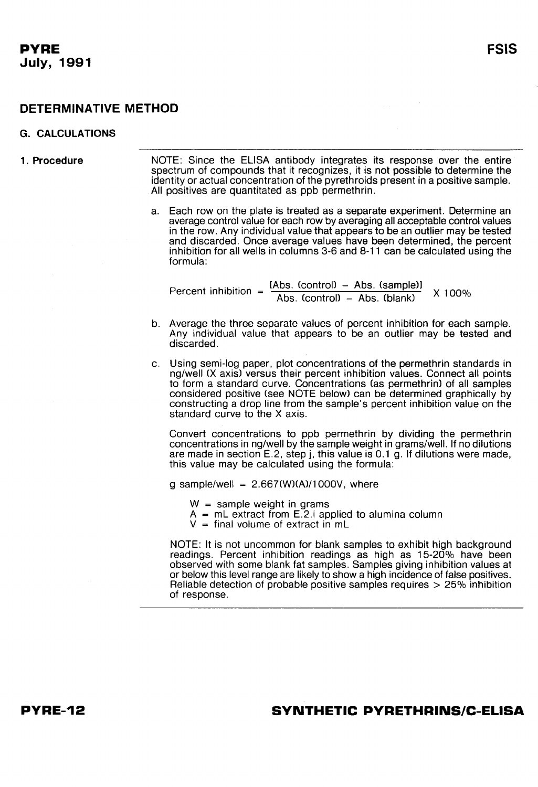#### <span id="page-12-0"></span>**DETERMINATIVE METHOD**

#### **G. CALCULATIONS**

**1. Procedure** NOTE: Since the ELlSA antibody integrates its response over the entire spectrum of compounds that it recognizes, it is not possible to determine the identity or actual concentration of the pyrethroids present in a positive sample. All positives are quantitated as ppb permethrin.

> a. Each row on the plate is treated as a separate experiment. Determine an average control value for each row by averaging all acceptable control values in the row. Any individual value that appears to be an outlier may be tested and discarded. Once average values have been determined, the percent inhibition for all wells in columns 3-6 and 8-11 can be calculated using the formula:

Percent inhibition =  $\frac{\text{[Abs. (control)} - \text{Abs. (sample)]}}{\text{Abs. (control)} - \text{Abs. (blank)}}$  X 100%

- b. Average the three separate values of percent inhibition for each sample. Any individual value that appears to be an outlier may be tested and discarded.
- c. Using semi-log paper, plot concentrations of the permethrin standards in nglwell (X axis) versus their percent inhibition values. Connect all points to form a standard curve. Concentrations (as permethrin) of all samples considered positive (see NOTE below) can be determined graphically by constructing a drop line from the sample's percent inhibition value on the standard curve to the X axis.

Convert concentrations to ppb permethrin by dividing the permethrin concentrations in ng/well by the sample weight in grams/well. If no dilutions are made in section E.2, step j, this value is 0.1 g. If dilutions were made, this value may be calculated using the formula:

g sample/well =  $2.667$ (W)(A)/1000V, where

- W = sample weight in grams
- A = mL extract from E.2.i applied to alumina column
- $V =$  final volume of extract in mL

NOTE: It is not uncommon for blank samples to exhibit high background readings. Percent inhibition readings as high as 15-20% have been observed with some blank fat samples. Samples giving inhibition values at or below this level range are likely to show a high incidence of false positives. Reliable detection of probable positive samples requires > 25% inhibition of response.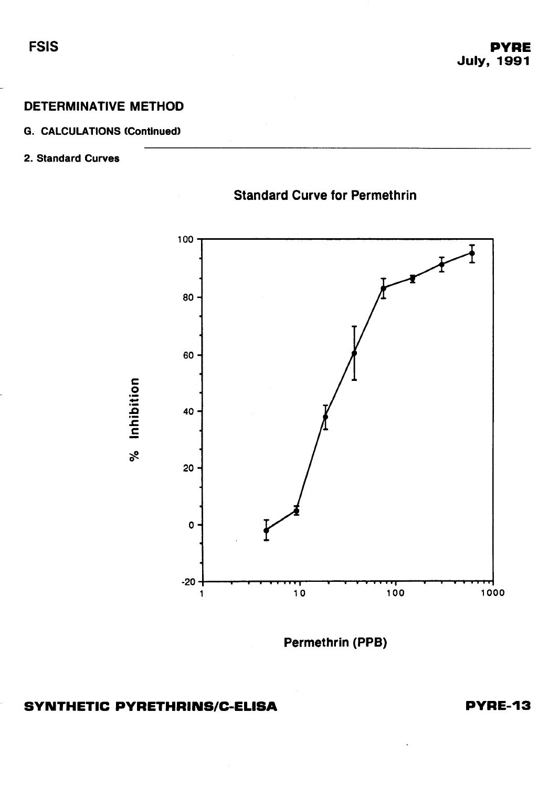### **G. CALCULATIONS Continued)**

## **2. Standard Curves**



## **Standard Curve for Permethrin**

**Permethrin (PPB)** 

## **SYNTHETIC PYRETHRINS/C-ELISA**

**PYRE-13** 

**FSIS**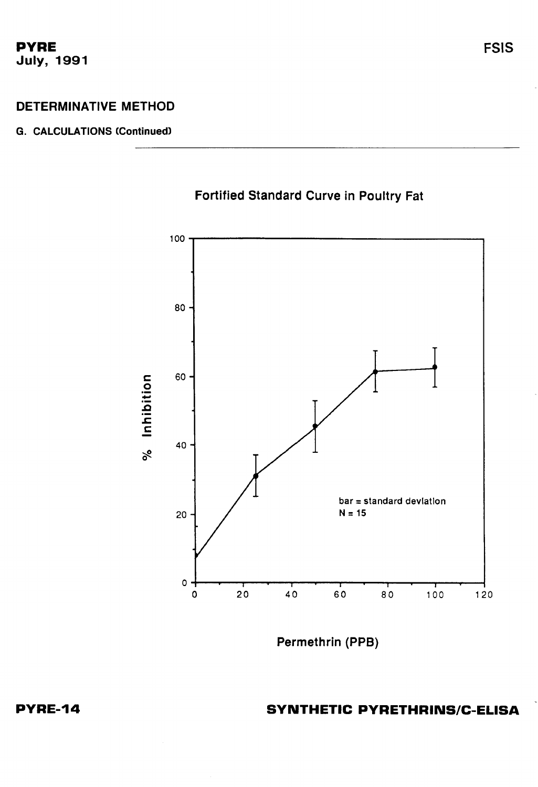#### **DETERMINATIVE METHOD**

#### **G. CALCULATIONS (Continued)**



**Fortified Standard Curve in Poultry Fat** 

**Permethrin (PPB)**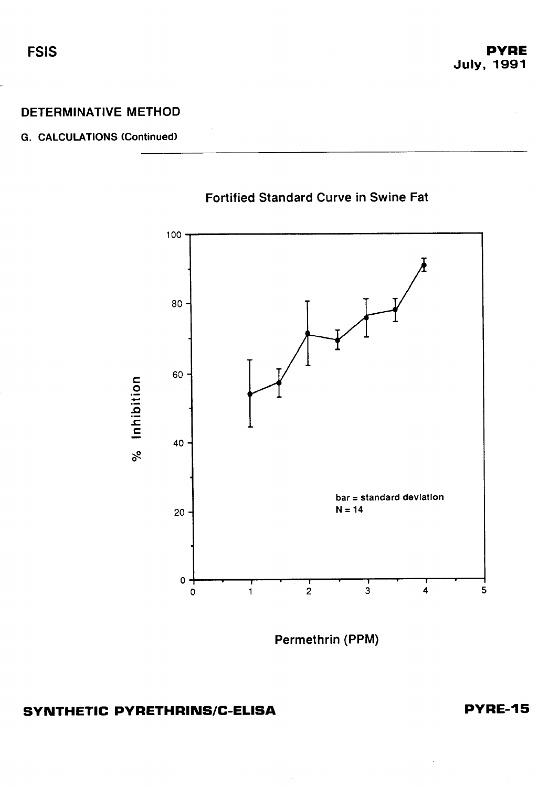### **DETERMINATIVE METHOD**

#### **G. CALCULATIONS (Continued)**



**Fortified Standard Curve in Swine Fat** 

**Permethrin (PPM)** 

## **SYNTHETIC PYRETHRINS/C-ELISA**

**PYRE-15** 

**FSIS** 

-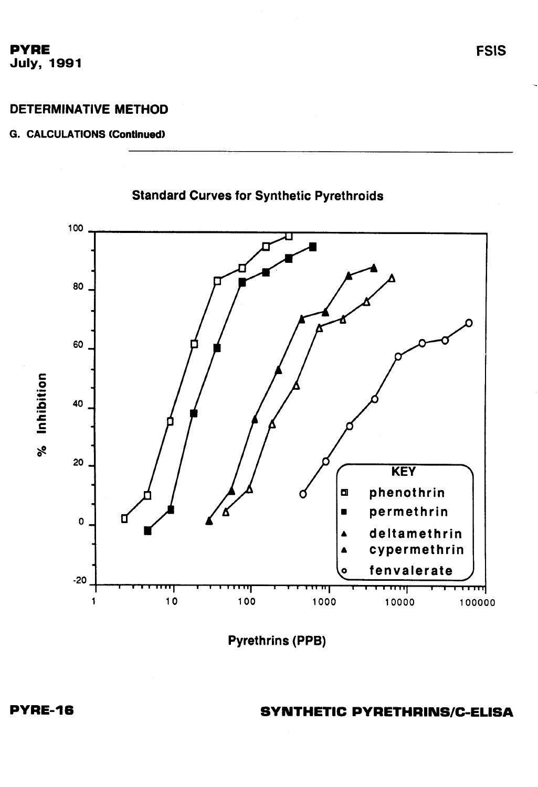## **DETERMINATIVE METHOD**

### **G. CALCULATIONS (Continued)**



**Pyrethrins (PPB)** 

**SYNTHETIC PYRETHRINS/C-ELISA**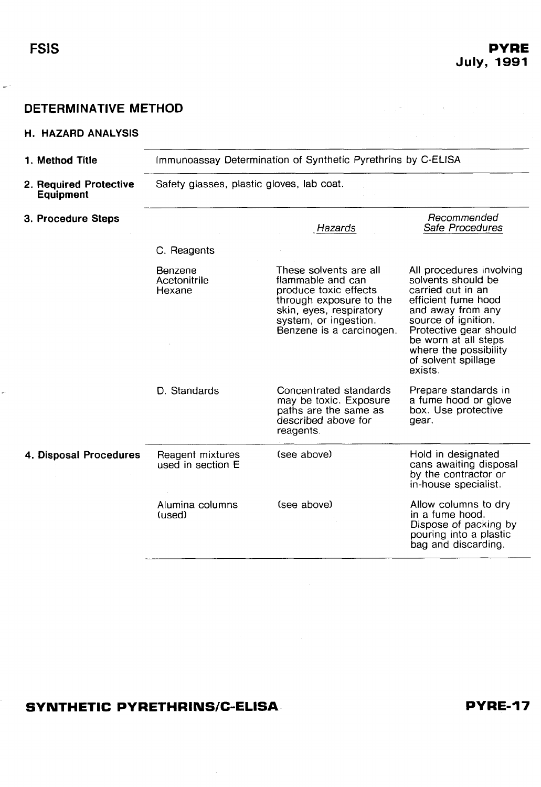<span id="page-17-0"></span>-

#### **DETERMINATIVE METHOD**

#### **H. HAZARD ANALYSIS**

| <b>DETERMINATIVE METHOD</b>                |                                           |                                                                                                                                                                                 |                                                                                                                                                                                                                                                    |
|--------------------------------------------|-------------------------------------------|---------------------------------------------------------------------------------------------------------------------------------------------------------------------------------|----------------------------------------------------------------------------------------------------------------------------------------------------------------------------------------------------------------------------------------------------|
| <b>H. HAZARD ANALYSIS</b>                  |                                           |                                                                                                                                                                                 |                                                                                                                                                                                                                                                    |
| 1. Method Title                            |                                           | Immunoassay Determination of Synthetic Pyrethrins by C-ELISA                                                                                                                    |                                                                                                                                                                                                                                                    |
| 2. Required Protective<br><b>Equipment</b> | Safety glasses, plastic gloves, lab coat. |                                                                                                                                                                                 |                                                                                                                                                                                                                                                    |
| 3. Procedure Steps                         |                                           | Hazards                                                                                                                                                                         | Recommended<br>Safe Procedures                                                                                                                                                                                                                     |
|                                            | C. Reagents                               |                                                                                                                                                                                 |                                                                                                                                                                                                                                                    |
|                                            | Benzene<br>Acetonitrile<br>Hexane         | These solvents are all<br>flammable and can<br>produce toxic effects<br>through exposure to the<br>skin, eyes, respiratory<br>system, or ingestion.<br>Benzene is a carcinogen. | All procedures involving<br>solvents should be<br>carried out in an<br>efficient fume hood<br>and away from any<br>source of ignition.<br>Protective gear should<br>be worn at all steps<br>where the possibility<br>of solvent spillage<br>exists |
|                                            | D. Standards                              | Concentrated standards<br>may be toxic. Exposure<br>paths are the same as<br>described above for<br>reagents.                                                                   | Prepare standards in<br>a fume hood or glove<br>box. Use protective<br>gear.                                                                                                                                                                       |
| 4. Disposal Procedures                     | Reagent mixtures<br>used in section E     | (see above)                                                                                                                                                                     | Hold in designated<br>cans awaiting disposal<br>by the contractor or<br>in-house specialist.                                                                                                                                                       |
|                                            | Alumina columns<br>(used)                 | (see above)                                                                                                                                                                     | Allow columns to dry<br>in a fume hood.<br>Dispose of packing by<br>pouring into a plastic<br>bag and discarding.                                                                                                                                  |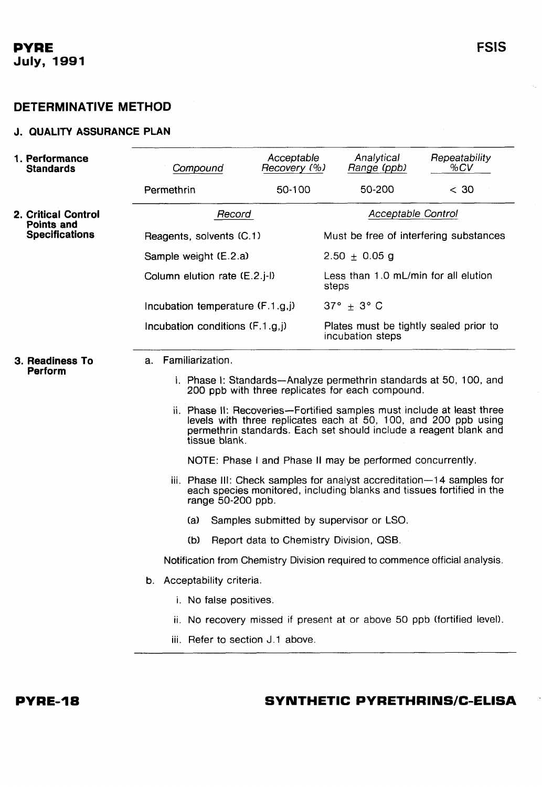## <span id="page-18-0"></span>**DETERMINATIVE METHOD**

#### **J. QUALITY ASSURANCE PLAN**

| <b>1. Performance</b><br><b>Standards</b> | Compound                                                                                                                                                                                                                         | Acceptable<br>Recovery (%)              | Analytical<br>Range (ppb)                                                                                              | Repeatability<br>%CV |  |  |
|-------------------------------------------|----------------------------------------------------------------------------------------------------------------------------------------------------------------------------------------------------------------------------------|-----------------------------------------|------------------------------------------------------------------------------------------------------------------------|----------------------|--|--|
|                                           | Permethrin                                                                                                                                                                                                                       | 50-100                                  | 50-200                                                                                                                 | < 30                 |  |  |
| 2. Critical Control<br><b>Points and</b>  | Record                                                                                                                                                                                                                           |                                         | Acceptable Control                                                                                                     |                      |  |  |
| <b>Specifications</b>                     | Reagents, solvents (C.1)                                                                                                                                                                                                         |                                         | Must be free of interfering substances                                                                                 |                      |  |  |
|                                           | Sample weight (E.2.a)                                                                                                                                                                                                            |                                         | $2.50 \pm 0.05$ g                                                                                                      |                      |  |  |
|                                           | Column elution rate (E.2.j-l)                                                                                                                                                                                                    |                                         | Less than 1.0 mL/min for all elution<br>steps                                                                          |                      |  |  |
|                                           | Incubation temperature $(F.1.g.)$                                                                                                                                                                                                |                                         | $37^\circ \pm 3^\circ$ C                                                                                               |                      |  |  |
|                                           | Incubation conditions (F.1.g,j)                                                                                                                                                                                                  |                                         | Plates must be tightly sealed prior to<br>incubation steps                                                             |                      |  |  |
| 3. Readiness To<br>Perform                | Familiarization.<br>а.                                                                                                                                                                                                           |                                         | i. Phase I: Standards-Analyze permethrin standards at 50, 100, and<br>200 ppb with three replicates for each compound. |                      |  |  |
|                                           | ii. Phase II: Recoveries--Fortified samples must include at least three<br>levels with three replicates each at 50, 100, and 200 ppb using<br>permethrin standards. Each set should include a reagent blank and<br>tissue blank. |                                         |                                                                                                                        |                      |  |  |
|                                           |                                                                                                                                                                                                                                  |                                         | NOTE: Phase I and Phase II may be performed concurrently.                                                              |                      |  |  |
|                                           | iii. Phase III: Check samples for analyst accreditation-14 samples for<br>each species monitored, including blanks and tissues fortified in the<br>range 50-200 ppb.                                                             |                                         |                                                                                                                        |                      |  |  |
|                                           | (a)                                                                                                                                                                                                                              |                                         | Samples submitted by supervisor or LSO.                                                                                |                      |  |  |
|                                           | (b)                                                                                                                                                                                                                              | Report data to Chemistry Division, QSB. |                                                                                                                        |                      |  |  |
|                                           |                                                                                                                                                                                                                                  |                                         | Notification from Chemistry Division required to commence official analysis.                                           |                      |  |  |
|                                           | b. Acceptability criteria.                                                                                                                                                                                                       |                                         |                                                                                                                        |                      |  |  |
|                                           | i. No false positives.                                                                                                                                                                                                           |                                         |                                                                                                                        |                      |  |  |
|                                           |                                                                                                                                                                                                                                  |                                         | ii. No recovery missed if present at or above 50 ppb (fortified level).                                                |                      |  |  |
|                                           | iii. Refer to section J.1 above.                                                                                                                                                                                                 |                                         |                                                                                                                        |                      |  |  |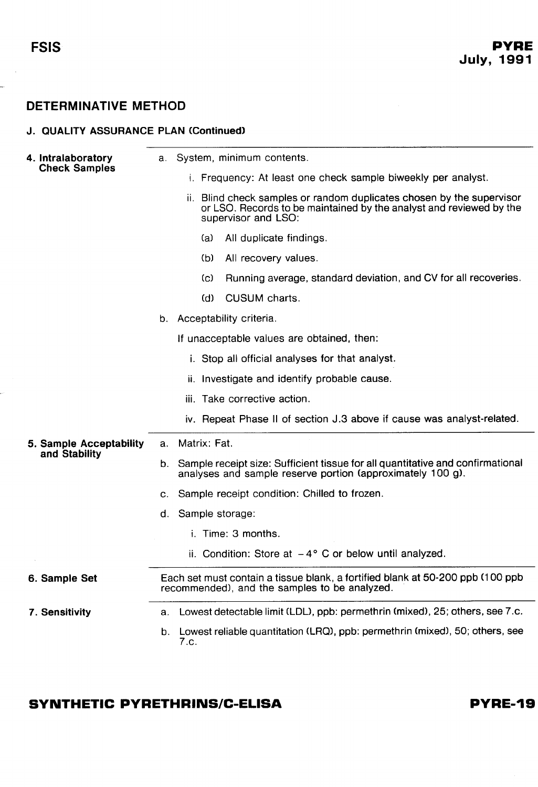-

## **DETERMINATIVE METHOD**

| <b>J. QUALITY ASSURANCE PLAN (Continued)</b> |    |                                                                                                                                                                     |
|----------------------------------------------|----|---------------------------------------------------------------------------------------------------------------------------------------------------------------------|
| 4. Intralaboratory                           | а. | System, minimum contents.                                                                                                                                           |
| <b>Check Samples</b>                         |    | i. Frequency: At least one check sample biweekly per analyst.                                                                                                       |
|                                              |    | ii. Blind check samples or random duplicates chosen by the supervisor<br>or LSO. Records to be maintained by the analyst and reviewed by the<br>supervisor and LSO: |
|                                              |    | All duplicate findings.<br>(a)                                                                                                                                      |
|                                              |    | All recovery values.<br>(b).                                                                                                                                        |
|                                              |    | Running average, standard deviation, and CV for all recoveries.<br>(C).                                                                                             |
|                                              |    | CUSUM charts.<br>(d)                                                                                                                                                |
|                                              |    | b. Acceptability criteria.                                                                                                                                          |
|                                              |    | If unacceptable values are obtained, then:                                                                                                                          |
|                                              |    | i. Stop all official analyses for that analyst.                                                                                                                     |
|                                              |    | ii. Investigate and identify probable cause.                                                                                                                        |
|                                              |    | iii. Take corrective action.                                                                                                                                        |
|                                              |    | iv. Repeat Phase II of section J.3 above if cause was analyst-related.                                                                                              |
| 5. Sample Acceptability                      |    | a. Matrix: Fat.                                                                                                                                                     |
| and Stability                                | b. | Sample receipt size: Sufficient tissue for all quantitative and confirmational<br>analyses and sample reserve portion (approximately 100 g).                        |
|                                              | C. | Sample receipt condition: Chilled to frozen.                                                                                                                        |
|                                              |    | d. Sample storage:                                                                                                                                                  |
|                                              |    | i. Time: 3 months.                                                                                                                                                  |
|                                              |    | ii. Condition: Store at $-4^{\circ}$ C or below until analyzed.                                                                                                     |
| 6. Sample Set                                |    | Each set must contain a tissue blank, a fortified blank at 50-200 ppb (100 ppb)<br>recommended), and the samples to be analyzed.                                    |
| 7. Sensitivity                               | а. | Lowest detectable limit (LDL), ppb: permethrin (mixed), 25; others, see 7.c.                                                                                        |
|                                              | b. | Lowest reliable quantitation (LRQ), ppb: permethrin (mixed), 50; others, see<br>7.c.                                                                                |

## **SYNTHETIC PYRETHRINS/C-ELISA**